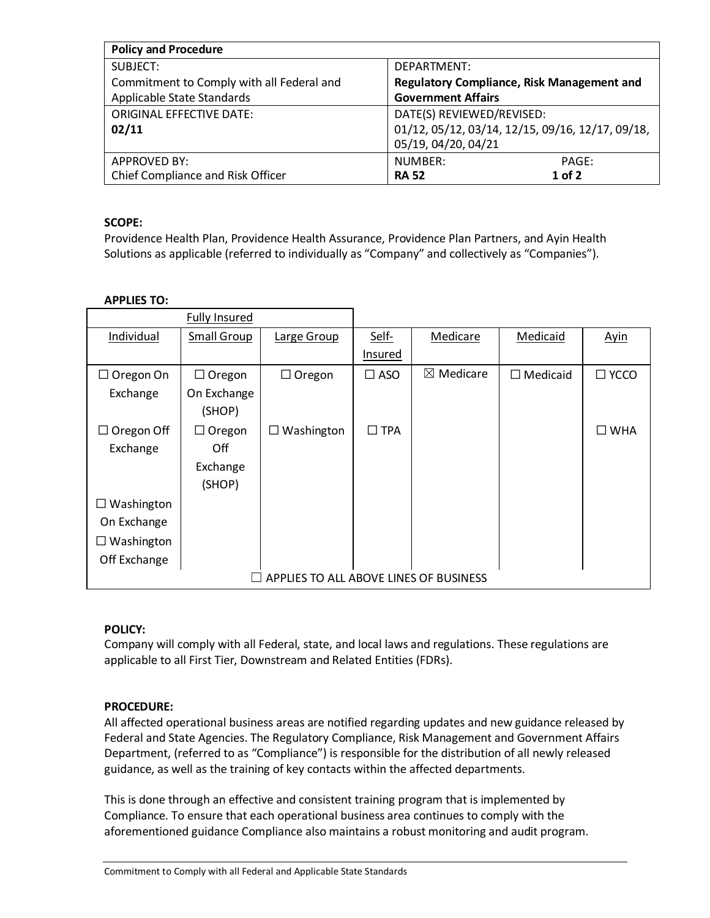| <b>Policy and Procedure</b>               |                                                   |  |  |  |
|-------------------------------------------|---------------------------------------------------|--|--|--|
| SUBJECT:                                  | DEPARTMENT:                                       |  |  |  |
| Commitment to Comply with all Federal and | <b>Regulatory Compliance, Risk Management and</b> |  |  |  |
| Applicable State Standards                | <b>Government Affairs</b>                         |  |  |  |
| <b>ORIGINAL EFFECTIVE DATE:</b>           | DATE(S) REVIEWED/REVISED:                         |  |  |  |
| 02/11                                     | 01/12, 05/12, 03/14, 12/15, 09/16, 12/17, 09/18,  |  |  |  |
|                                           | 05/19, 04/20, 04/21                               |  |  |  |
| <b>APPROVED BY:</b>                       | NUMBER:<br>PAGE:                                  |  |  |  |
| Chief Compliance and Risk Officer         | $1$ of $2$<br><b>RA 52</b>                        |  |  |  |

## **SCOPE:**

Providence Health Plan, Providence Health Assurance, Providence Plan Partners, and Ayin Health Solutions as applicable (referred to individually as "Company" and collectively as "Companies").

### **APPLIES TO:**

|                                        | <b>Fully Insured</b> |                   |               |                      |                 |                |
|----------------------------------------|----------------------|-------------------|---------------|----------------------|-----------------|----------------|
| Individual                             | Small Group          | Large Group       | Self-         | Medicare             | Medicaid        | <b>Ayin</b>    |
|                                        |                      |                   | Insured       |                      |                 |                |
| $\Box$ Oregon On                       | $\Box$ Oregon        | $\Box$ Oregon     | $\square$ ASO | $\boxtimes$ Medicare | $\Box$ Medicaid | $\square$ YCCO |
| Exchange                               | On Exchange          |                   |               |                      |                 |                |
|                                        | (SHOP)               |                   |               |                      |                 |                |
| $\Box$ Oregon Off                      | Oregon<br>ப          | $\Box$ Washington | $\square$ TPA |                      |                 | $\square$ WHA  |
| Exchange                               | Off                  |                   |               |                      |                 |                |
|                                        | Exchange             |                   |               |                      |                 |                |
|                                        | (SHOP)               |                   |               |                      |                 |                |
| Washington                             |                      |                   |               |                      |                 |                |
| On Exchange                            |                      |                   |               |                      |                 |                |
| Washington                             |                      |                   |               |                      |                 |                |
| Off Exchange                           |                      |                   |               |                      |                 |                |
| APPLIES TO ALL ABOVE LINES OF BUSINESS |                      |                   |               |                      |                 |                |

### **POLICY:**

Company will comply with all Federal, state, and local laws and regulations. These regulations are applicable to all First Tier, Downstream and Related Entities (FDRs).

# **PROCEDURE:**

All affected operational business areas are notified regarding updates and new guidance released by Federal and State Agencies. The Regulatory Compliance, Risk Management and Government Affairs Department, (referred to as "Compliance") is responsible for the distribution of all newly released guidance, as well as the training of key contacts within the affected departments.

This is done through an effective and consistent training program that is implemented by Compliance. To ensure that each operational business area continues to comply with the aforementioned guidance Compliance also maintains a robust monitoring and audit program.